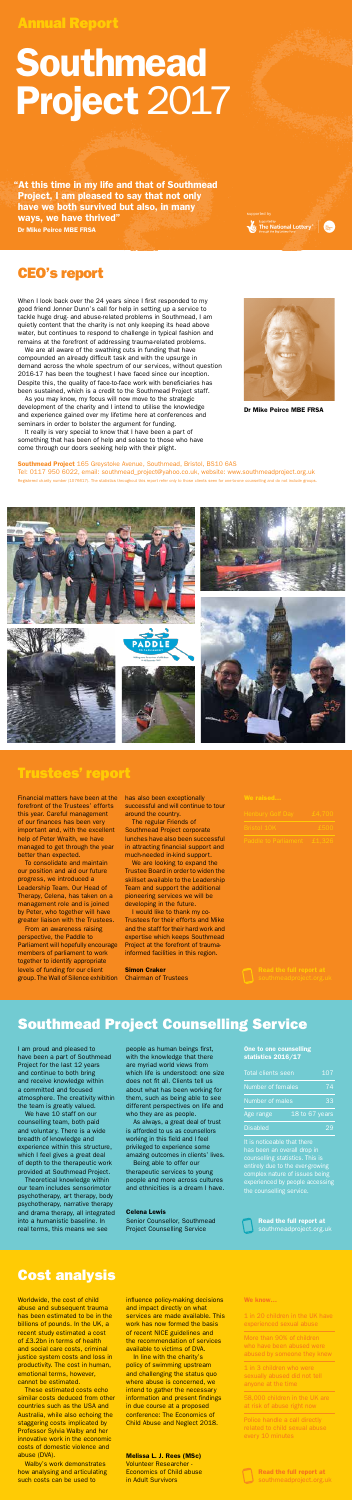When I look back over the 24 years since I first responded to my good friend Jonner Dunn's call for help in setting up a service to tackle huge drug- and abuse-related problems in Southmead, I am quietly content that the charity is not only keeping its head above water, but continues to respond to challenge in typical fashion and remains at the forefront of addressing trauma-related problems.

We are all aware of the swathing cuts in funding that have compounded an already difficult task and with the upsurge in demand across the whole spectrum of our services, without question 2016-17 has been the toughest I have faced since our inception. Despite this, the quality of face-to-face work with beneficiaries has been sustained, which is a credit to the Southmead Project staff.

As you may know, my focus will now move to the strategic development of the charity and I intend to utilise the knowledge and experience gained over my lifetime here at conferences and seminars in order to bolster the argument for funding.

It really is very special to know that I have been a part of something that has been of help and solace to those who have come through our doors seeking help with their plight.



Supported by **The National Lottery** 

### CEO's report

Dr Mike Peirce MBE FRSA

Financial matters have been at the forefront of the Trustees' efforts this year. Careful management of our finances has been very important and, with the excellent help of Peter Wraith, we have managed to get through the year better than expected.

To consolidate and maintain our position and aid our future progress, we introduced a Leadership Team. Our Head of Therapy, Celena, has taken on a management role and is joined by Peter, who together will have greater liaison with the Trustees.

From an awareness raising perspective, the Paddle to Parliament will hopefully encourage members of parliament to work together to identify appropriate levels of funding for our client group. The Wall of Silence exhibition has also been exceptionally successful and will continue to tour around the country.

Southmead Project 165 Greystoke Avenue, Southmead, Bristol, BS10 6AS Tel: 0117 950 6022, email: southmead\_project@yahoo.co.uk, website: www.southmeadproject.org.uk Registered charity number (1076617). The statistics throughout this report refer only to those clients seen for one-to-one counselling and do not include gro









The regular Friends of Southmead Project corporate lunches have also been successful in attracting financial support and much-needed in-kind support.

We are looking to expand the Trustee Board in order to widen the skillset available to the Leadership Team and support the additional pioneering services we will be developing in the future.

I would like to thank my co-Trustees for their efforts and Mike and the staff for their hard work and expertise which keeps Southmead Project at the forefront of traumainformed facilities in this region.

Walby's work demonstrates how analysing and articulating such costs can be used to

Simon Craker Chairman of Trustees

| Henbury Golf Dav            | £4,700 |
|-----------------------------|--------|
| <b>Bristol 10K</b>          | £500   |
| <b>Paddle to Parliament</b> | £1,326 |

### Trustees' report

### Southmead Project Counselling Service

### Cost analysis

I am proud and pleased to have been a part of Southmead Project for the last 12 years and continue to both bring and receive knowledge within a committed and focused atmosphere. The creativity within the team is greatly valued.

We have 10 staff on our counselling team, both paid and voluntary. There is a wide breadth of knowledge and experience within this structure, which I feel gives a great deal of depth to the therapeutic work provided at Southmead Project.

Theoretical knowledge within our team includes sensorimotor psychotherapy, art therapy, body psychotherapy, narrative therapy and drama therapy, all integrated into a humanistic baseline. In real terms, this means we see

people as human beings first, with the knowledge that there are myriad world views from which life is understood: one size does not fit all. Clients tell us about what has been working for them, such as being able to see different perspectives on life and who they are as people.

As always, a great deal of trust is afforded to us as counsellors working in this field and I feel privileged to experience some amazing outcomes in clients' lives.

Being able to offer our therapeutic services to young people and more across cultures and ethnicities is a dream I have.

#### Celena Lewis

Senior Counsellor, Southmead Project Counselling Service

# Southmead Project 2017

 "At this time in my life and that of Southmead Project, I am pleased to say that not only have we both survived but also, in many ways, we have thrived" Dr Mike Peirce MBE FRSA

Annual Report

Worldwide, the cost of child abuse and subsequent trauma has been estimated to be in the billions of pounds. In the UK, a recent study estimated a cost of £3.2bn in terms of health and social care costs, criminal justice system costs and loss in productivity. The cost in human, emotional terms, however, cannot be estimated.

These estimated costs echo similar costs deduced from other countries such as the USA and Australia, while also echoing the staggering costs implicated by Professor Sylvia Walby and her innovative work in the economic costs of domestic violence and abuse (DVA).

influence policy-making decisions and impact directly on what services are made available. This work has now formed the basis of recent NICE guidelines and the recommendation of services available to victims of DVA.

In line with the charity's policy of swimming upstream and challenging the status quo where abuse is concerned, we intend to gather the necessary information and present findings in due course at a proposed conference: The Economics of Child Abuse and Neglect 2018.

Melissa L. J. Rees (MSc) Volunteer Researcher - Economics of Child abuse in Adult Survivors

#### One to one counselling statistics 2016/17

| <b>Total clients seen</b> | 107              |
|---------------------------|------------------|
| Number of females         | 74               |
| Number of males           | 33               |
| Age range                 | 18 to $67$ years |
| <b>Disabled</b>           | ספי              |

It is noticeable that there counselling statistics. This is entirely due to the ever-growing complex nature of issues being the counselling service.



We know…

1 in 20 children in the UK have experienced sexual abuse

More than 90% of children who have been abused were abused by someone they knew

1 in 3 children who were sexually abused did not tell anyone at the time

58,000 children in the UK are at risk of abuse right now

Police handle a call directly related to child sexual abuse every 10 minutes



Read the full report at